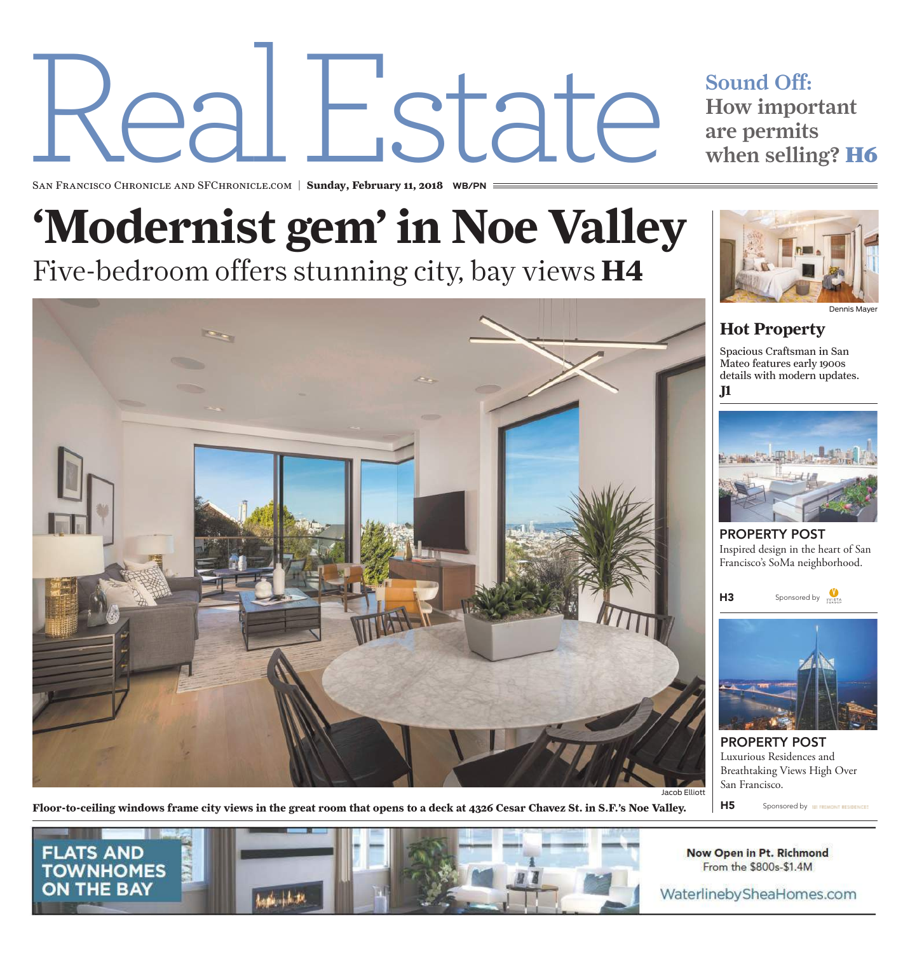# Real the Sound Off:<br>
the Sound Off:<br>
the Sound Off:<br>
then sellin<br>
then sellin<br>
then sellin<br>
then sellin<br>
then sellin<br>
then sellin<br>
then sellin<br>
then sellin<br>
then sellin<br>
then sellin<br>
then sellin<br>
then sellin<br>
then sellin<br>
then

## How important are permits when selling? **H6**

San Francisco Chronicle and SFChronicle.com | **Sunday, February 11, 2018 WB/PN**

# **'Modernist gem' in Noe Valley** Five-bedroom offers stunning city, bay views **H4**



Dennis Mayer

## **Hot Property** Spacious Craftsman in San

Mateo features early 1900s details with modern updates. **J1**



PROPERTY POST Inspired design in the heart of San Francisco's SoMa neighborhood.





PROPERTY POST Luxurious Residences and Breathtaking Views High Over San Francisco.

H5 Sponsored by **WARD BELLEVILLE** 

Floor-to-ceiling windows frame city views in the great room that opens to a deck at 4326 Cesar Chavez St. in S.F.'s Noe Valley.



Now Open in Pt. Richmond From the \$800s-\$1.4M

WaterlinebySheaHomes.com